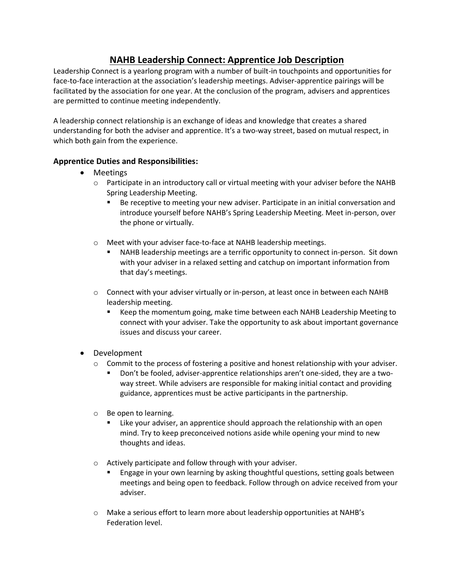## **NAHB Leadership Connect: Apprentice Job Description**

Leadership Connect is a yearlong program with a number of built-in touchpoints and opportunities for face-to-face interaction at the association's leadership meetings. Adviser-apprentice pairings will be facilitated by the association for one year. At the conclusion of the program, advisers and apprentices are permitted to continue meeting independently.

A leadership connect relationship is an exchange of ideas and knowledge that creates a shared understanding for both the adviser and apprentice. It's a two-way street, based on mutual respect, in which both gain from the experience.

## **Apprentice Duties and Responsibilities:**

- Meetings
	- o Participate in an introductory call or virtual meeting with your adviser before the NAHB Spring Leadership Meeting.
		- Be receptive to meeting your new adviser. Participate in an initial conversation and introduce yourself before NAHB's Spring Leadership Meeting. Meet in-person, over the phone or virtually.
	- o Meet with your adviser face-to-face at NAHB leadership meetings.
		- NAHB leadership meetings are a terrific opportunity to connect in-person. Sit down with your adviser in a relaxed setting and catchup on important information from that day's meetings.
	- o Connect with your adviser virtually or in-person, at least once in between each NAHB leadership meeting.
		- Keep the momentum going, make time between each NAHB Leadership Meeting to connect with your adviser. Take the opportunity to ask about important governance issues and discuss your career.
- Development
	- $\circ$  Commit to the process of fostering a positive and honest relationship with your adviser.
		- Don't be fooled, adviser-apprentice relationships aren't one-sided, they are a twoway street. While advisers are responsible for making initial contact and providing guidance, apprentices must be active participants in the partnership.
	- o Be open to learning.
		- Like your adviser, an apprentice should approach the relationship with an open mind. Try to keep preconceived notions aside while opening your mind to new thoughts and ideas.
	- o Actively participate and follow through with your adviser.
		- Engage in your own learning by asking thoughtful questions, setting goals between meetings and being open to feedback. Follow through on advice received from your adviser.
	- o Make a serious effort to learn more about leadership opportunities at NAHB's Federation level.